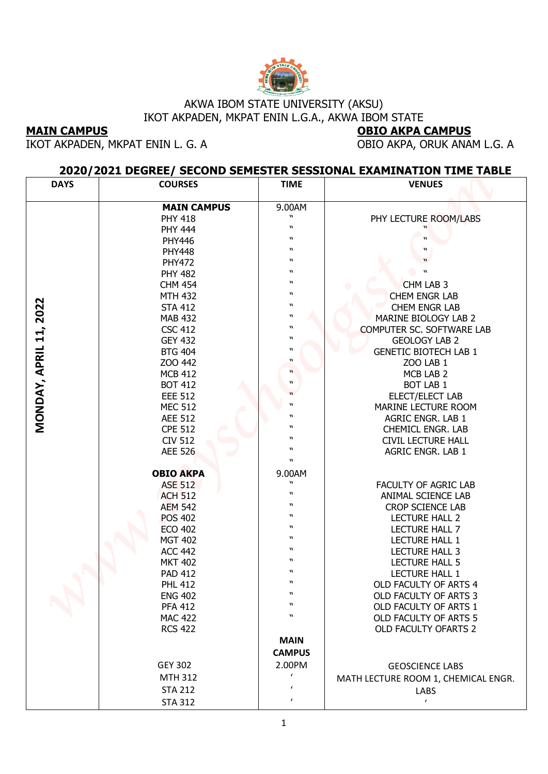

## AKWA IBOM STATE UNIVERSITY (AKSU) IKOT AKPADEN, MKPAT ENIN L.G.A., AKWA IBOM STATE

## **2020/2021 DEGREE/ SECOND SEMESTER SESSIONAL EXAMINATION TIME TABLE**

| <b>MAIN CAMPUS</b> | AKWA IBOM STATE UNIVERSITY (AKSU)<br>IKOT AKPADEN, MKPAT ENIN L.G.A., AKWA IBOM STATE |                                               |                                                                                     |
|--------------------|---------------------------------------------------------------------------------------|-----------------------------------------------|-------------------------------------------------------------------------------------|
|                    |                                                                                       |                                               |                                                                                     |
|                    |                                                                                       |                                               | <b>OBIO AKPA CAMPUS</b>                                                             |
|                    | IKOT AKPADEN, MKPAT ENIN L. G. A                                                      |                                               | OBIO AKPA, ORUK ANAM L.G. A                                                         |
| <b>DAYS</b>        | <b>COURSES</b>                                                                        | <b>TIME</b>                                   | 2020/2021 DEGREE/ SECOND SEMESTER SESSIONAL EXAMINATION TIME TABLE<br><b>VENUES</b> |
|                    |                                                                                       |                                               |                                                                                     |
|                    | <b>MAIN CAMPUS</b>                                                                    | 9.00AM                                        |                                                                                     |
|                    | <b>PHY 418</b>                                                                        | $\boldsymbol{\mathsf{u}}$<br>$\boldsymbol{v}$ | PHY LECTURE ROOM/LABS                                                               |
|                    | <b>PHY 444</b>                                                                        | W                                             |                                                                                     |
|                    | <b>PHY446</b><br><b>PHY448</b>                                                        | W                                             |                                                                                     |
|                    | <b>PHY472</b>                                                                         | $\boldsymbol{v}$                              |                                                                                     |
|                    | <b>PHY 482</b>                                                                        | $\boldsymbol{v}$                              |                                                                                     |
|                    | <b>CHM 454</b>                                                                        | W                                             | CHM LAB 3                                                                           |
|                    | <b>MTH 432</b>                                                                        | W                                             | CHEM ENGR LAB                                                                       |
| 2022               | <b>STA 412</b>                                                                        | W<br>W                                        | <b>CHEM ENGR LAB</b>                                                                |
|                    | <b>MAB 432</b><br><b>CSC 412</b>                                                      | $\boldsymbol{\mathsf{N}}$                     | MARINE BIOLOGY LAB 2<br>COMPUTER SC. SOFTWARE LAB                                   |
|                    | <b>GEY 432</b>                                                                        | W                                             | <b>GEOLOGY LAB 2</b>                                                                |
|                    | <b>BTG 404</b>                                                                        | W                                             | <b>GENETIC BIOTECH LAB 1</b>                                                        |
|                    | ZOO 442                                                                               | W                                             | <b>ZOO LAB 1</b>                                                                    |
| MONDAY, APRIL 11,  | <b>MCB 412</b>                                                                        | $\boldsymbol{\mathsf{u}}$                     | MCB LAB 2                                                                           |
|                    | <b>BOT 412</b>                                                                        | W                                             | <b>BOT LAB 1</b>                                                                    |
|                    | <b>EEE 512</b>                                                                        | W                                             | ELECT/ELECT LAB                                                                     |
|                    | <b>MEC 512</b><br><b>AEE 512</b>                                                      | $\boldsymbol{\mathsf{w}}$                     | MARINE LECTURE ROOM<br>AGRIC ENGR. LAB 1                                            |
|                    | <b>CPE 512</b>                                                                        | W                                             | <b>CHEMICL ENGR. LAB</b>                                                            |
|                    | <b>CIV 512</b>                                                                        | W                                             | <b>CIVIL LECTURE HALL</b>                                                           |
|                    | <b>AEE 526</b>                                                                        | W                                             | AGRIC ENGR. LAB 1                                                                   |
|                    |                                                                                       | W                                             |                                                                                     |
|                    | <b>OBIO AKPA</b>                                                                      | 9.00AM<br>$\boldsymbol{\mathsf{M}}$           |                                                                                     |
|                    | <b>ASE 512</b><br><b>ACH 512</b>                                                      | $\boldsymbol{\mathsf{N}}$                     | FACULTY OF AGRIC LAB<br>ANIMAL SCIENCE LAB                                          |
|                    | <b>AEM 542</b>                                                                        | W                                             | <b>CROP SCIENCE LAB</b>                                                             |
|                    | <b>POS 402</b>                                                                        | w                                             | <b>LECTURE HALL 2</b>                                                               |
|                    | <b>ECO 402</b>                                                                        | W                                             | <b>LECTURE HALL 7</b>                                                               |
|                    | <b>MGT 402</b>                                                                        | W                                             | LECTURE HALL 1                                                                      |
|                    | <b>ACC 442</b>                                                                        | W                                             | LECTURE HALL 3                                                                      |
|                    | <b>MKT 402</b>                                                                        | W<br>W                                        | LECTURE HALL 5                                                                      |
|                    | <b>PAD 412</b><br><b>PHL 412</b>                                                      | W                                             | LECTURE HALL 1<br>OLD FACULTY OF ARTS 4                                             |
|                    | <b>ENG 402</b>                                                                        | W                                             | OLD FACULTY OF ARTS 3                                                               |
|                    | <b>PFA 412</b>                                                                        | W                                             | OLD FACULTY OF ARTS 1                                                               |
|                    | <b>MAC 422</b>                                                                        | W                                             | OLD FACULTY OF ARTS 5                                                               |
|                    | <b>RCS 422</b>                                                                        |                                               | OLD FACULTY OFARTS 2                                                                |
|                    |                                                                                       | <b>MAIN</b>                                   |                                                                                     |
|                    |                                                                                       | <b>CAMPUS</b>                                 |                                                                                     |
|                    | <b>GEY 302</b>                                                                        | 2.00PM                                        | <b>GEOSCIENCE LABS</b>                                                              |
|                    | <b>MTH 312</b>                                                                        | $\epsilon$                                    | MATH LECTURE ROOM 1, CHEMICAL ENGR.                                                 |
|                    | <b>STA 212</b>                                                                        | $\epsilon$                                    | LABS<br>$\epsilon$                                                                  |
|                    | <b>STA 312</b>                                                                        |                                               |                                                                                     |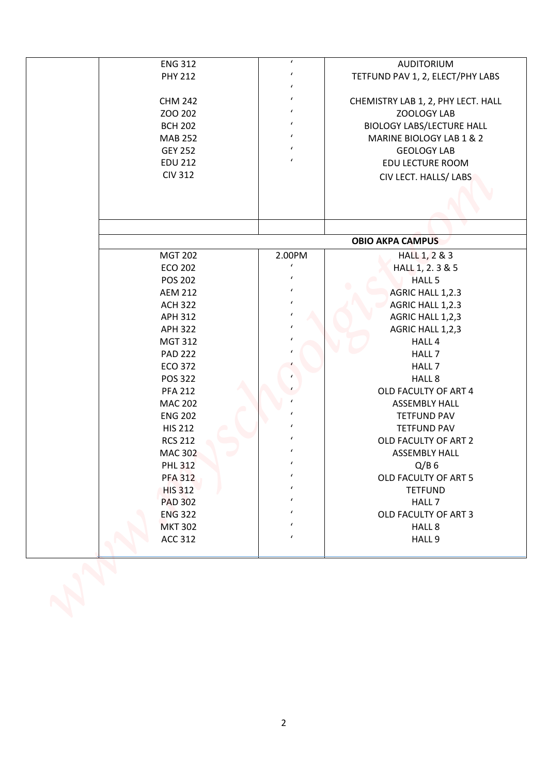| <b>ENG 312</b> | $\pmb{\prime}$ | <b>AUDITORIUM</b>                  |
|----------------|----------------|------------------------------------|
| <b>PHY 212</b> | $\pmb{\prime}$ | TETFUND PAV 1, 2, ELECT/PHY LABS   |
|                | $\epsilon$     |                                    |
| <b>CHM 242</b> | $\epsilon$     | CHEMISTRY LAB 1, 2, PHY LECT. HALL |
| ZOO 202        | $\epsilon$     | ZOOLOGY LAB                        |
| <b>BCH 202</b> | $\pmb{\prime}$ | <b>BIOLOGY LABS/LECTURE HALL</b>   |
| <b>MAB 252</b> | $\pmb{\prime}$ | MARINE BIOLOGY LAB 1 & 2           |
| <b>GEY 252</b> | $\pmb{\prime}$ | <b>GEOLOGY LAB</b>                 |
| <b>EDU 212</b> | $\epsilon$     | EDU LECTURE ROOM                   |
| <b>CIV 312</b> |                | CIV LECT. HALLS/ LABS              |
|                |                |                                    |
|                |                |                                    |
|                |                |                                    |
|                |                | <b>OBIO AKPA CAMPUS</b>            |
| <b>MGT 202</b> | 2.00PM         | HALL 1, 2 & 3                      |
| <b>ECO 202</b> | $\epsilon$     | HALL 1, 2. 3 & 5                   |
| <b>POS 202</b> | $\epsilon$     | HALL <sub>5</sub>                  |
| <b>AEM 212</b> | $\epsilon$     | AGRIC HALL 1,2.3                   |
| <b>ACH 322</b> | $\epsilon$     | AGRIC HALL 1,2.3                   |
| <b>APH 312</b> |                | AGRIC HALL 1,2,3                   |
| <b>APH 322</b> | $\epsilon$     | AGRIC HALL 1,2,3                   |
| <b>MGT 312</b> |                | HALL 4                             |
| <b>PAD 222</b> |                | HALL 7                             |
| <b>ECO 372</b> |                | HALL 7                             |
| <b>POS 322</b> |                | HALL 8                             |
| <b>PFA 212</b> |                | OLD FACULTY OF ART 4               |
| <b>MAC 202</b> |                | <b>ASSEMBLY HALL</b>               |
| <b>ENG 202</b> | $\epsilon$     | <b>TETFUND PAV</b>                 |
| <b>HIS 212</b> |                | <b>TETFUND PAV</b>                 |
| <b>RCS 212</b> |                | OLD FACULTY OF ART 2               |
| <b>MAC 302</b> |                | <b>ASSEMBLY HALL</b>               |
| <b>PHL 312</b> |                | $Q/B$ 6                            |
| <b>PFA 312</b> |                | OLD FACULTY OF ART 5               |
| <b>HIS 312</b> |                | <b>TETFUND</b>                     |
| <b>PAD 302</b> |                | HALL 7                             |
| <b>ENG 322</b> | $\epsilon$     | OLD FACULTY OF ART 3               |
| <b>MKT 302</b> | $\epsilon$     | HALL 8                             |
| ACC 312        | $\epsilon$     | HALL 9                             |
|                |                |                                    |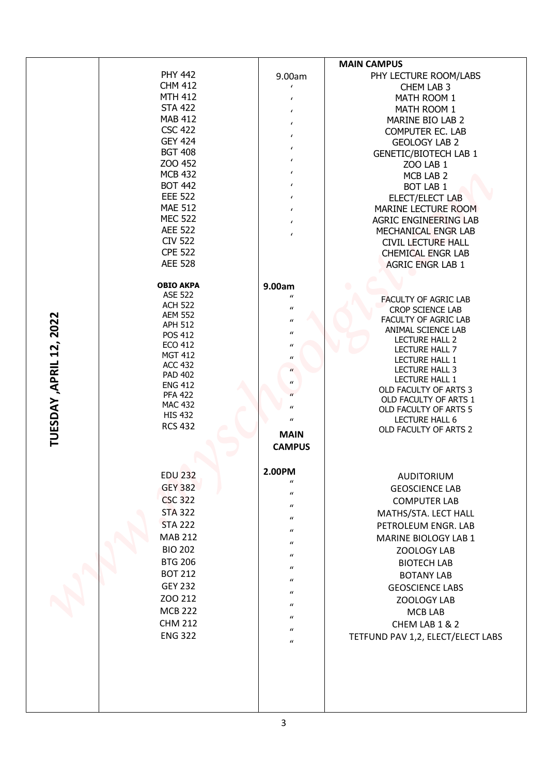|                         | <b>PHY 442</b>                   | 9.00am                                                   | <b>MAIN CAMPUS</b><br>PHY LECTURE ROOM/LABS         |
|-------------------------|----------------------------------|----------------------------------------------------------|-----------------------------------------------------|
|                         | <b>CHM 412</b><br><b>MTH 412</b> | $\epsilon$                                               | CHEM LAB 3                                          |
|                         | <b>STA 422</b>                   | $\epsilon$                                               | MATH ROOM 1<br>MATH ROOM 1                          |
|                         | <b>MAB 412</b>                   | $\epsilon$<br>$\epsilon$                                 | MARINE BIO LAB 2                                    |
|                         | <b>CSC 422</b>                   | $\epsilon$                                               | <b>COMPUTER EC. LAB</b>                             |
|                         | <b>GEY 424</b>                   | $\epsilon$                                               | <b>GEOLOGY LAB 2</b>                                |
|                         | <b>BGT 408</b>                   | $\epsilon$                                               | <b>GENETIC/BIOTECH LAB 1</b>                        |
|                         | ZOO 452<br><b>MCB 432</b>        | $\epsilon$                                               | ZOO LAB 1                                           |
|                         | <b>BOT 442</b>                   | $\pmb{\prime}$                                           | MCB LAB 2<br><b>BOT LAB 1</b>                       |
|                         | <b>EEE 522</b>                   | $\epsilon$                                               | ELECT/ELECT LAB                                     |
|                         | <b>MAE 512</b>                   | $\epsilon$                                               | MARINE LECTURE ROOM                                 |
|                         | <b>MEC 522</b>                   | $\epsilon$                                               | <b>AGRIC ENGINEERING LAB</b>                        |
|                         | <b>AEE 522</b>                   | $\epsilon$                                               | MECHANICAL ENGR LAB                                 |
|                         | <b>CIV 522</b><br><b>CPE 522</b> |                                                          | <b>CIVIL LECTURE HALL</b>                           |
|                         | <b>AEE 528</b>                   |                                                          | <b>CHEMICAL ENGR LAB</b><br><b>AGRIC ENGR LAB 1</b> |
|                         | <b>OBIO AKPA</b>                 | 9.00am                                                   |                                                     |
|                         | <b>ASE 522</b><br><b>ACH 522</b> | $\boldsymbol{u}$                                         | <b>FACULTY OF AGRIC LAB</b>                         |
|                         | <b>AEM 552</b>                   | $\boldsymbol{\mathcal{U}}$<br>$\boldsymbol{\mathcal{U}}$ | CROP SCIENCE LAB<br>FACULTY OF AGRIC LAB            |
|                         | <b>APH 512</b><br><b>POS 412</b> | $\boldsymbol{\mathcal{U}}$                               | ANIMAL SCIENCE LAB                                  |
|                         | <b>ECO 412</b>                   | $\boldsymbol{\mathcal{U}}$                               | <b>LECTURE HALL 2</b>                               |
|                         | <b>MGT 412</b>                   | $\boldsymbol{\mathcal{U}}$                               | LECTURE HALL 7<br>LECTURE HALL 1                    |
|                         | <b>ACC 432</b>                   | $\boldsymbol{\mathcal{U}}$                               | LECTURE HALL 3                                      |
|                         | <b>PAD 402</b><br><b>ENG 412</b> | $\boldsymbol{\mathcal{U}}$                               | LECTURE HALL 1                                      |
|                         | <b>PFA 422</b>                   |                                                          | OLD FACULTY OF ARTS 3<br>OLD FACULTY OF ARTS 1      |
|                         | <b>MAC 432</b>                   | $\iota$                                                  | OLD FACULTY OF ARTS 5                               |
|                         | <b>HIS 432</b><br><b>RCS 432</b> | $\boldsymbol{\mathcal{U}}$                               | LECTURE HALL 6                                      |
| TUESDAY, APRIL 12, 2022 |                                  | <b>MAIN</b>                                              | OLD FACULTY OF ARTS 2                               |
|                         |                                  | <b>CAMPUS</b>                                            |                                                     |
|                         | <b>EDU 232</b>                   | 2.00PM<br>$\boldsymbol{u}$                               | <b>AUDITORIUM</b>                                   |
|                         | <b>GEY 382</b>                   | $\boldsymbol{u}$                                         | <b>GEOSCIENCE LAB</b>                               |
|                         | <b>CSC 322</b>                   | $\boldsymbol{u}$                                         | <b>COMPUTER LAB</b>                                 |
|                         | <b>STA 322</b>                   | $\boldsymbol{u}$                                         | MATHS/STA. LECT HALL                                |
|                         | <b>STA 222</b>                   | $\boldsymbol{\mathcal{U}}$                               | PETROLEUM ENGR. LAB                                 |
|                         | <b>MAB 212</b><br><b>BIO 202</b> | $\boldsymbol{\mathcal{U}}$                               | MARINE BIOLOGY LAB 1                                |
|                         | <b>BTG 206</b>                   | $\boldsymbol{\mathcal{U}}$                               | ZOOLOGY LAB<br><b>BIOTECH LAB</b>                   |
|                         | <b>BOT 212</b>                   | $\boldsymbol{\mathcal{U}}$                               | <b>BOTANY LAB</b>                                   |
|                         | <b>GEY 232</b>                   | $\boldsymbol{\mathcal{U}}$                               | <b>GEOSCIENCE LABS</b>                              |
|                         | ZOO 212                          | $\boldsymbol{\mathcal{U}}$                               | ZOOLOGY LAB                                         |
|                         | <b>MCB 222</b>                   | $\boldsymbol{u}$<br>$\boldsymbol{u}$                     | MCB LAB                                             |
|                         | <b>CHM 212</b>                   | $\boldsymbol{\mathcal{U}}$                               | CHEM LAB 1 & 2                                      |
|                         | <b>ENG 322</b>                   |                                                          | TETFUND PAV 1,2, ELECT/ELECT LABS                   |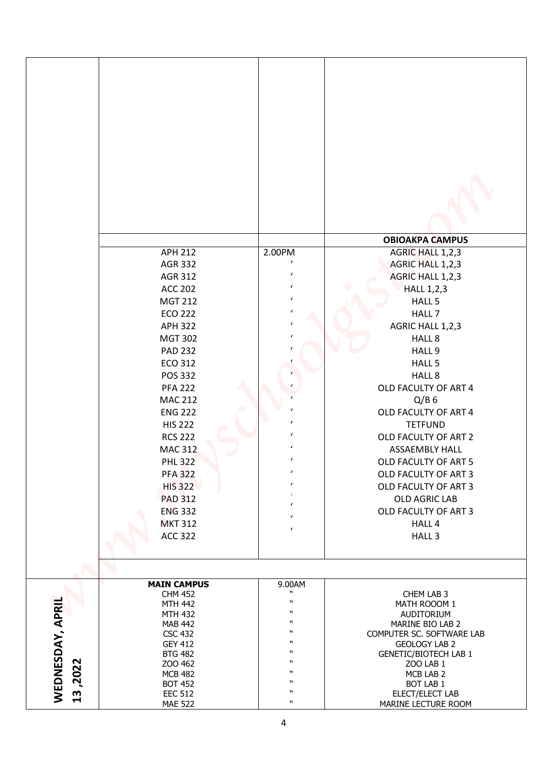|                                            | <b>APH 212</b>                   | 2.00PM                                                 | <b>OBIOAKPA CAMPUS</b><br>AGRIC HALL 1,2,3           |
|--------------------------------------------|----------------------------------|--------------------------------------------------------|------------------------------------------------------|
|                                            | <b>AGR 332</b>                   | $\pmb{\prime}$                                         | AGRIC HALL 1,2,3                                     |
|                                            | AGR 312                          | $\epsilon$                                             | AGRIC HALL 1,2,3                                     |
|                                            | <b>ACC 202</b>                   | $\epsilon$                                             | <b>HALL 1,2,3</b>                                    |
|                                            | <b>MGT 212</b>                   | $\epsilon$                                             | HALL 5                                               |
|                                            | <b>ECO 222</b>                   | $\epsilon$                                             | HALL 7                                               |
|                                            | <b>APH 322</b>                   |                                                        | AGRIC HALL 1,2,3                                     |
|                                            | <b>MGT 302</b>                   |                                                        | HALL 8                                               |
|                                            | <b>PAD 232</b>                   |                                                        | HALL 9                                               |
|                                            | <b>ECO 312</b>                   |                                                        | HALL 5                                               |
|                                            | <b>POS 332</b>                   |                                                        | HALL 8                                               |
|                                            | <b>PFA 222</b>                   |                                                        | OLD FACULTY OF ART 4                                 |
|                                            | <b>MAC 212</b>                   |                                                        | $Q/B$ 6                                              |
|                                            | <b>ENG 222</b>                   | $\epsilon$                                             | OLD FACULTY OF ART 4                                 |
|                                            | <b>HIS 222</b>                   | $\pmb{\prime}$<br>$\epsilon$                           | <b>TETFUND</b>                                       |
|                                            | <b>RCS 222</b>                   |                                                        | OLD FACULTY OF ART 2                                 |
|                                            | <b>MAC 312</b>                   | $\pmb{\prime}$<br>$\pmb{\prime}$                       | <b>ASSAEMBLY HALL</b>                                |
|                                            | <b>PHL 322</b>                   | $\pmb{\prime}$                                         | OLD FACULTY OF ART 5                                 |
|                                            | <b>PFA 322</b>                   | $\epsilon$                                             | OLD FACULTY OF ART 3                                 |
|                                            | <b>HIS 322</b>                   |                                                        | OLD FACULTY OF ART 3                                 |
|                                            | <b>PAD 312</b>                   | $\epsilon$                                             | OLD AGRIC LAB                                        |
|                                            | <b>ENG 332</b><br><b>MKT 312</b> | $\epsilon$                                             | OLD FACULTY OF ART 3<br>HALL 4                       |
|                                            | <b>ACC 322</b>                   | $\epsilon$                                             | HALL <sub>3</sub>                                    |
|                                            |                                  |                                                        |                                                      |
|                                            | <b>MAIN CAMPUS</b>               | 9.00AM                                                 |                                                      |
|                                            | <b>CHM 452</b><br><b>MTH 442</b> | $\boldsymbol{\mathsf{u}}$<br>$\boldsymbol{\mathsf{u}}$ | CHEM LAB 3<br>MATH ROOOM 1                           |
|                                            | <b>MTH 432</b>                   | $\boldsymbol{n}$                                       | AUDITORIUM                                           |
|                                            | <b>MAB 442</b>                   | $\boldsymbol{n}$                                       | MARINE BIO LAB 2                                     |
|                                            | <b>CSC 432</b>                   | $\boldsymbol{n}$<br>W                                  | COMPUTER SC. SOFTWARE LAB                            |
|                                            | <b>GEY 412</b><br><b>BTG 482</b> | $\boldsymbol{n}$                                       | <b>GEOLOGY LAB 2</b><br><b>GENETIC/BIOTECH LAB 1</b> |
|                                            |                                  |                                                        |                                                      |
|                                            |                                  | $\boldsymbol{\mathsf{M}}$                              |                                                      |
|                                            | ZOO 462<br><b>MCB 482</b>        | $\boldsymbol{\mathsf{M}}$                              | ZOO LAB 1<br>MCB LAB 2                               |
| WEDNESDAY, APRIL<br>,2022<br>$\mathbf{13}$ | <b>BOT 452</b><br><b>EEC 512</b> | $\boldsymbol{n}$<br>$\boldsymbol{n}$                   | BOT LAB 1<br>ELECT/ELECT LAB                         |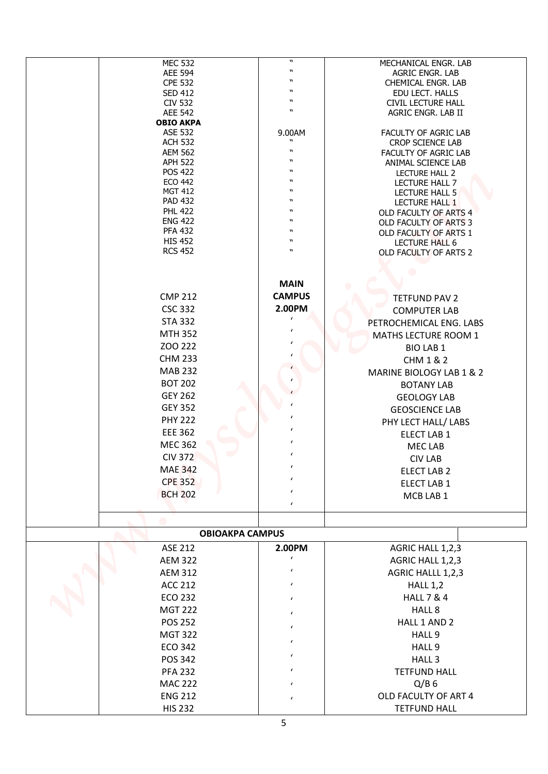| <b>MEC 532</b>                   | $\boldsymbol{n}$                     | MECHANICAL ENGR. LAB                           |
|----------------------------------|--------------------------------------|------------------------------------------------|
| <b>AEE 594</b>                   | $\boldsymbol{n}$                     | AGRIC ENGR. LAB                                |
| <b>CPE 532</b>                   | $\boldsymbol{v}$<br>$\boldsymbol{v}$ | CHEMICAL ENGR. LAB                             |
| <b>SED 412</b><br><b>CIV 532</b> | $\boldsymbol{v}$                     | EDU LECT. HALLS<br><b>CIVIL LECTURE HALL</b>   |
| <b>AEE 542</b>                   | W                                    | AGRIC ENGR. LAB II                             |
| <b>OBIO AKPA</b>                 |                                      |                                                |
| <b>ASE 532</b>                   | 9.00AM                               | FACULTY OF AGRIC LAB                           |
| <b>ACH 532</b>                   | $\boldsymbol{v}$<br>$\boldsymbol{v}$ | CROP SCIENCE LAB                               |
| <b>AEM 562</b><br><b>APH 522</b> | $\boldsymbol{v}$                     | FACULTY OF AGRIC LAB<br>ANIMAL SCIENCE LAB     |
| <b>POS 422</b>                   | $\boldsymbol{v}$                     | LECTURE HALL 2                                 |
| <b>ECO 442</b>                   | w                                    | LECTURE HALL 7                                 |
| <b>MGT 412</b>                   | W                                    | <b>LECTURE HALL 5</b>                          |
| <b>PAD 432</b>                   | W                                    | LECTURE HALL 1                                 |
| <b>PHL 422</b><br><b>ENG 422</b> | $\boldsymbol{v}$<br>$\boldsymbol{v}$ | OLD FACULTY OF ARTS 4<br>OLD FACULTY OF ARTS 3 |
| <b>PFA 432</b>                   | w                                    | OLD FACULTY OF ARTS 1                          |
| <b>HIS 452</b>                   | W                                    | <b>LECTURE HALL 6</b>                          |
| <b>RCS 452</b>                   | $\boldsymbol{v}$                     | OLD FACULTY OF ARTS 2                          |
|                                  |                                      |                                                |
|                                  |                                      |                                                |
|                                  | <b>MAIN</b>                          |                                                |
| <b>CMP 212</b>                   | <b>CAMPUS</b>                        | <b>TETFUND PAV 2</b>                           |
| <b>CSC 332</b>                   | 2.00PM                               | <b>COMPUTER LAB</b>                            |
| <b>STA 332</b>                   | $\epsilon$                           | PETROCHEMICAL ENG. LABS                        |
| <b>MTH 352</b>                   | $\epsilon$                           | MATHS LECTURE ROOM 1                           |
| ZOO 222                          |                                      | <b>BIO LAB 1</b>                               |
| <b>CHM 233</b>                   |                                      | <b>CHM 1 &amp; 2</b>                           |
| <b>MAB 232</b>                   |                                      | MARINE BIOLOGY LAB 1 & 2                       |
| <b>BOT 202</b>                   |                                      | <b>BOTANY LAB</b>                              |
| <b>GEY 262</b>                   |                                      | <b>GEOLOGY LAB</b>                             |
| <b>GEY 352</b>                   |                                      | <b>GEOSCIENCE LAB</b>                          |
| <b>PHY 222</b>                   | $\pmb{\prime}$                       | PHY LECT HALL/ LABS                            |
| <b>EEE 362</b>                   | $\epsilon$                           | ELECT LAB 1                                    |
| <b>MEC 362</b>                   | $\epsilon$                           | <b>MEC LAB</b>                                 |
| <b>CIV 372</b>                   | $\epsilon$                           | <b>CIV LAB</b>                                 |
| <b>MAE 342</b>                   | $\epsilon$                           | ELECT LAB 2                                    |
| <b>CPE 352</b>                   | $\epsilon$                           | ELECT LAB 1                                    |
| <b>BCH 202</b>                   | $\epsilon$                           | MCB LAB 1                                      |
|                                  | $\epsilon$                           |                                                |
|                                  |                                      |                                                |
|                                  | <b>OBIOAKPA CAMPUS</b>               |                                                |
| ASE 212                          | 2.00PM                               | AGRIC HALL 1,2,3                               |
| <b>AEM 322</b>                   | $\epsilon$                           | AGRIC HALL 1,2,3                               |
| <b>AEM 312</b>                   | $\epsilon$                           | AGRIC HALLL 1,2,3                              |
| <b>ACC 212</b>                   | $\epsilon$                           | <b>HALL 1,2</b>                                |
| <b>ECO 232</b>                   | $\epsilon$                           | <b>HALL 7 &amp; 4</b>                          |
| <b>MGT 222</b>                   |                                      | HALL 8                                         |
| <b>POS 252</b>                   | $\epsilon$                           | HALL 1 AND 2                                   |
|                                  | $\epsilon$                           |                                                |
| <b>MGT 322</b>                   | $\epsilon$                           | HALL 9                                         |
| <b>ECO 342</b>                   | $\pmb{\prime}$                       | HALL 9                                         |
| POS 342                          |                                      | HALL <sub>3</sub>                              |
| <b>PFA 232</b>                   | $\epsilon$                           | <b>TETFUND HALL</b>                            |
| <b>MAC 222</b>                   | $\epsilon$                           | $Q/B$ 6                                        |
| <b>ENG 212</b>                   | $\epsilon$                           | OLD FACULTY OF ART 4                           |
| <b>HIS 232</b>                   |                                      | <b>TETFUND HALL</b>                            |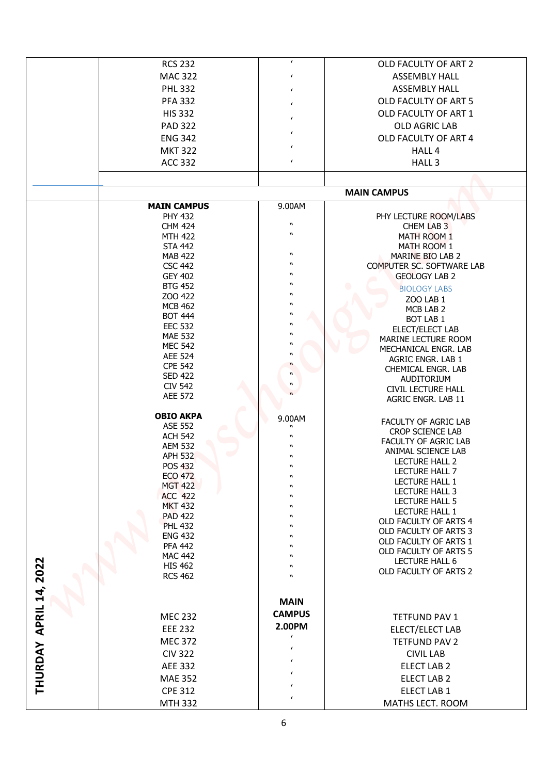|           | <b>RCS 232</b>                     | $\pmb{\prime}$                                 | OLD FACULTY OF ART 2                           |
|-----------|------------------------------------|------------------------------------------------|------------------------------------------------|
|           | <b>MAC 322</b>                     | $\pmb{\prime}$                                 | <b>ASSEMBLY HALL</b>                           |
|           | <b>PHL 332</b>                     | $\pmb{\prime}$                                 | <b>ASSEMBLY HALL</b>                           |
|           | <b>PFA 332</b>                     | $\pmb{\prime}$                                 | OLD FACULTY OF ART 5                           |
|           | <b>HIS 332</b>                     | $\pmb{\prime}$                                 | OLD FACULTY OF ART 1                           |
|           | <b>PAD 322</b>                     | $\pmb{\prime}$                                 | OLD AGRIC LAB                                  |
|           | <b>ENG 342</b>                     |                                                | OLD FACULTY OF ART 4                           |
|           | <b>MKT 322</b>                     | $\epsilon$                                     | HALL 4                                         |
|           | <b>ACC 332</b>                     | $\epsilon$                                     | HALL <sub>3</sub>                              |
|           |                                    |                                                |                                                |
|           |                                    |                                                | <b>MAIN CAMPUS</b>                             |
|           | <b>MAIN CAMPUS</b>                 | 9.00AM                                         |                                                |
|           | <b>PHY 432</b><br><b>CHM 424</b>   | $\boldsymbol{\mathsf{u}}$                      | PHY LECTURE ROOM/LABS<br>CHEM LAB 3            |
|           | <b>MTH 422</b>                     | $\boldsymbol{\mathsf{M}}$                      | MATH ROOM 1                                    |
|           | <b>STA 442</b>                     |                                                | MATH ROOM 1                                    |
|           | <b>MAB 422</b><br><b>CSC 442</b>   | $\boldsymbol{\mathsf{M}}$<br>$\boldsymbol{v}$  | MARINE BIO LAB 2<br>COMPUTER SC. SOFTWARE LAB  |
|           | <b>GEY 402</b>                     | $\boldsymbol{v}$                               | <b>GEOLOGY LAB 2</b>                           |
|           | <b>BTG 452</b>                     | $\boldsymbol{v}$                               | <b>BIOLOGY LABS</b>                            |
|           | ZOO 422                            | W<br>$\boldsymbol{v}$                          | ZOO LAB 1                                      |
|           | <b>MCB 462</b><br><b>BOT 444</b>   | $\boldsymbol{v}$                               | MCB LAB 2                                      |
|           | <b>EEC 532</b>                     | $\boldsymbol{v}$                               | <b>BOT LAB 1</b><br>ELECT/ELECT LAB            |
|           | <b>MAE 532</b>                     | $\boldsymbol{n}$                               | MARINE LECTURE ROOM                            |
|           | <b>MEC 542</b>                     | $\boldsymbol{v}$<br>$\boldsymbol{\mathsf{M}}$  | MECHANICAL ENGR. LAB                           |
|           | <b>AEE 524</b><br><b>CPE 542</b>   | $\boldsymbol{u}$                               | AGRIC ENGR. LAB 1                              |
|           | <b>SED 422</b>                     | $\boldsymbol{w}$                               | CHEMICAL ENGR. LAB<br>AUDITORIUM               |
|           | <b>CIV 542</b><br><b>AEE 572</b>   | $\boldsymbol{n}$<br>$\boldsymbol{\mathcal{U}}$ | <b>CIVIL LECTURE HALL</b>                      |
|           |                                    |                                                | AGRIC ENGR. LAB 11                             |
|           | <b>OBIO AKPA</b><br><b>ASE 552</b> | 9.00AM                                         | FACULTY OF AGRIC LAB                           |
|           | <b>ACH 542</b>                     | $\mathbf{u}$<br>$\boldsymbol{n}$               | <b>CROP SCIENCE LAB</b>                        |
|           | <b>AEM 532</b>                     | $\boldsymbol{n}$                               | FACULTY OF AGRIC LAB                           |
|           | <b>APH 532</b>                     | $\boldsymbol{n}$                               | ANIMAL SCIENCE LAB<br>LECTURE HALL 2           |
|           | <b>POS 432</b>                     | $\boldsymbol{n}$                               | LECTURE HALL 7                                 |
|           | <b>ECO 472</b><br><b>MGT 422</b>   | $\boldsymbol{\mathsf{M}}$<br>W                 | LECTURE HALL 1                                 |
|           | <b>ACC 422</b>                     | $\boldsymbol{v}$                               | LECTURE HALL 3                                 |
|           | <b>MKT 432</b>                     | $\boldsymbol{\mathsf{M}}$                      | LECTURE HALL 5<br><b>LECTURE HALL 1</b>        |
|           | <b>PAD 422</b><br><b>PHL 432</b>   | $\boldsymbol{\mathsf{M}}$<br>$\boldsymbol{v}$  | OLD FACULTY OF ARTS 4                          |
|           | <b>ENG 432</b>                     | W                                              | OLD FACULTY OF ARTS 3                          |
|           | <b>PFA 442</b>                     | $\boldsymbol{v}$                               | OLD FACULTY OF ARTS 1<br>OLD FACULTY OF ARTS 5 |
|           | <b>MAC 442</b>                     | w                                              | LECTURE HALL 6                                 |
| 2022      | <b>HIS 462</b><br><b>RCS 462</b>   | W<br>$\boldsymbol{v}$                          | OLD FACULTY OF ARTS 2                          |
|           |                                    |                                                |                                                |
| APRIL 14, |                                    | <b>MAIN</b>                                    |                                                |
|           | <b>MEC 232</b>                     | <b>CAMPUS</b>                                  | TETFUND PAV 1                                  |
|           | <b>EEE 232</b>                     | 2.00PM                                         | ELECT/ELECT LAB                                |
|           | <b>MEC 372</b>                     | $\pmb{\prime}$                                 | <b>TETFUND PAV 2</b>                           |
|           | <b>CIV 322</b>                     | $\pmb{\prime}$                                 | <b>CIVIL LAB</b>                               |
|           | <b>AEE 332</b>                     | $\epsilon$                                     | ELECT LAB 2                                    |
| THURDAY   | <b>MAE 352</b>                     | $\pmb{\prime}$                                 | ELECT LAB 2                                    |
|           | <b>CPE 312</b>                     | $\pmb{\prime}$                                 | ELECT LAB 1                                    |
|           | <b>MTH 332</b>                     | $\pmb{\prime}$                                 | MATHS LECT. ROOM                               |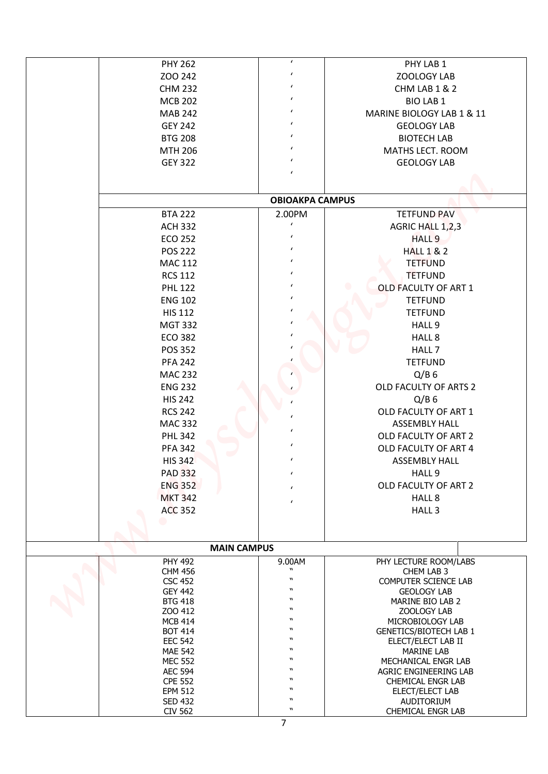|                                  | $\pmb{\prime}$                       | PHY LAB 1                                  |
|----------------------------------|--------------------------------------|--------------------------------------------|
| <b>PHY 262</b>                   | $\pmb{\prime}$                       |                                            |
| ZOO 242                          | $\epsilon$                           | ZOOLOGY LAB                                |
| <b>CHM 232</b>                   | $\epsilon$                           | CHM LAB 1 & 2                              |
| <b>MCB 202</b>                   | $\epsilon$                           | <b>BIO LAB 1</b>                           |
| <b>MAB 242</b>                   | $\epsilon$                           | MARINE BIOLOGY LAB 1 & 11                  |
| <b>GEY 242</b>                   | $\epsilon$                           | <b>GEOLOGY LAB</b>                         |
| <b>BTG 208</b>                   | $\epsilon$                           | <b>BIOTECH LAB</b>                         |
| <b>MTH 206</b>                   |                                      | MATHS LECT. ROOM                           |
| <b>GEY 322</b>                   | $\epsilon$<br>$\epsilon$             | <b>GEOLOGY LAB</b>                         |
|                                  |                                      |                                            |
|                                  | <b>OBIOAKPA CAMPUS</b>               |                                            |
| <b>BTA 222</b>                   | 2.00PM                               | <b>TETFUND PAV</b>                         |
| <b>ACH 332</b>                   | $\epsilon$                           | AGRIC HALL 1,2,3                           |
| <b>ECO 252</b>                   | $\epsilon$                           | HALL <sub>9</sub>                          |
| <b>POS 222</b>                   | $\epsilon$                           | <b>HALL 1 &amp; 2</b>                      |
| <b>MAC 112</b>                   | $\epsilon$                           | <b>TETFUND</b>                             |
| <b>RCS 112</b>                   | $\epsilon$                           | <b>TETFUND</b>                             |
| <b>PHL 122</b>                   | $\epsilon$                           | OLD FACULTY OF ART 1                       |
| <b>ENG 102</b>                   | $\epsilon$                           | <b>TETFUND</b>                             |
| <b>HIS 112</b>                   | $\epsilon$                           | <b>TETFUND</b>                             |
| <b>MGT 332</b>                   | $\epsilon$                           | HALL 9                                     |
| <b>ECO 382</b>                   |                                      | HALL 8                                     |
| <b>POS 352</b>                   |                                      | HALL 7                                     |
| <b>PFA 242</b>                   |                                      | <b>TETFUND</b>                             |
| <b>MAC 232</b>                   |                                      | $Q/B$ 6                                    |
| <b>ENG 232</b>                   |                                      | OLD FACULTY OF ARTS 2                      |
| <b>HIS 242</b>                   |                                      | $Q/B$ 6                                    |
| <b>RCS 242</b>                   |                                      | OLD FACULTY OF ART 1                       |
| <b>MAC 332</b>                   | $\pmb{\prime}$                       | <b>ASSEMBLY HALL</b>                       |
|                                  | $\epsilon$                           |                                            |
| <b>PHL 342</b>                   | $\epsilon$                           | OLD FACULTY OF ART 2                       |
| <b>PFA 342</b>                   | $\epsilon$                           | OLD FACULTY OF ART 4                       |
| <b>HIS 342</b>                   |                                      | <b>ASSEMBLY HALL</b>                       |
| <b>PAD 332</b>                   | $\epsilon$                           | HALL 9                                     |
| <b>ENG 352</b>                   | $\epsilon$                           | OLD FACULTY OF ART 2                       |
| <b>MKT 342</b>                   | $\epsilon$                           | HALL 8                                     |
| <b>ACC 352</b>                   |                                      | HALL <sub>3</sub>                          |
|                                  |                                      |                                            |
| <b>MAIN CAMPUS</b>               |                                      |                                            |
| <b>PHY 492</b>                   | 9.00AM                               | PHY LECTURE ROOM/LABS                      |
| <b>CHM 456</b>                   | $\boldsymbol{n}$<br>$\boldsymbol{v}$ | CHEM LAB 3                                 |
| <b>CSC 452</b><br><b>GEY 442</b> | $\boldsymbol{v}$                     | COMPUTER SCIENCE LAB<br><b>GEOLOGY LAB</b> |
| <b>BTG 418</b>                   | W                                    | MARINE BIO LAB 2                           |
| ZOO 412                          | $\boldsymbol{v}$                     | ZOOLOGY LAB                                |
| <b>MCB 414</b>                   | $\boldsymbol{v}$<br>W                | MICROBIOLOGY LAB                           |
| <b>BOT 414</b><br><b>EEC 542</b> | $\boldsymbol{\mathsf{M}}$            | <b>GENETICS/BIOTECH LAB 1</b>              |
| <b>MAE 542</b>                   | W                                    | ELECT/ELECT LAB II<br><b>MARINE LAB</b>    |
| <b>MEC 552</b>                   | $\boldsymbol{v}$                     | MECHANICAL ENGR LAB                        |
| <b>AEC 594</b>                   | $\boldsymbol{v}$                     | AGRIC ENGINEERING LAB                      |
| <b>CPE 552</b>                   | $\boldsymbol{v}$<br>$\boldsymbol{v}$ | CHEMICAL ENGR LAB                          |
| <b>EPM 512</b>                   | $\boldsymbol{n}$                     | ELECT/ELECT LAB                            |
|                                  |                                      |                                            |
| <b>SED 432</b><br>CIV 562        | $\boldsymbol{n}$                     | AUDITORIUM<br>CHEMICAL ENGR LAB            |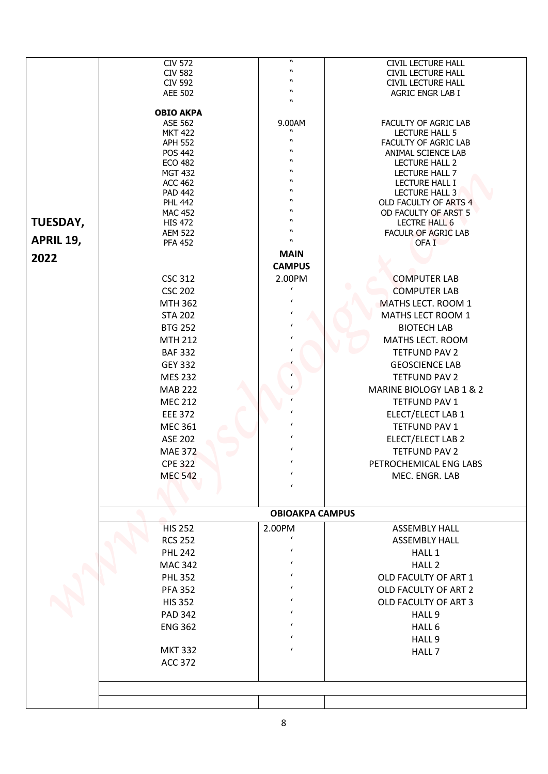|           | <b>CIV 572</b><br><b>CIV 582</b><br><b>CIV 592</b> | $\boldsymbol{n}$               | <b>CIVIL LECTURE HALL</b>                     |
|-----------|----------------------------------------------------|--------------------------------|-----------------------------------------------|
|           |                                                    |                                | <b>CIVIL LECTURE HALL</b>                     |
|           |                                                    | W                              | <b>CIVIL LECTURE HALL</b>                     |
|           | <b>AEE 502</b>                                     | $\boldsymbol{v}$<br>W          | AGRIC ENGR LAB I                              |
|           | <b>OBIO AKPA</b>                                   |                                |                                               |
|           | ASE 562                                            | 9.00AM<br>$\boldsymbol{v}$     | FACULTY OF AGRIC LAB                          |
|           | <b>MKT 422</b><br><b>APH 552</b>                   | $\boldsymbol{v}$               | <b>LECTURE HALL 5</b><br>FACULTY OF AGRIC LAB |
|           | <b>POS 442</b>                                     | $\boldsymbol{v}$               | ANIMAL SCIENCE LAB                            |
|           | <b>ECO 482</b>                                     | W                              | <b>LECTURE HALL 2</b>                         |
|           | <b>MGT 432</b>                                     | $\boldsymbol{v}$               | LECTURE HALL 7                                |
|           | <b>ACC 462</b>                                     | w<br>W                         | LECTURE HALL I                                |
|           | <b>PAD 442</b><br><b>PHL 442</b>                   | W                              | LECTURE HALL 3<br>OLD FACULTY OF ARTS 4       |
|           | <b>MAC 452</b>                                     | $\boldsymbol{v}$               | OD FACULTY OF ARST 5                          |
| TUESDAY,  | <b>HIS 472</b>                                     | $\boldsymbol{v}$               | <b>LECTRE HALL 6</b>                          |
| APRIL 19, | <b>AEM 522</b>                                     | w<br>$\boldsymbol{\mathsf{M}}$ | <b>FACULR OF AGRIC LAB</b>                    |
|           | <b>PFA 452</b>                                     |                                | OFA <sub>I</sub>                              |
| 2022      |                                                    | <b>MAIN</b>                    |                                               |
|           | <b>CSC 312</b>                                     | <b>CAMPUS</b><br>2.00PM        | <b>COMPUTER LAB</b>                           |
|           | <b>CSC 202</b>                                     | $\pmb{\prime}$                 | <b>COMPUTER LAB</b>                           |
|           | <b>MTH 362</b>                                     | $\pmb{\prime}$                 | MATHS LECT. ROOM 1                            |
|           | <b>STA 202</b>                                     | $\epsilon$                     | MATHS LECT ROOM 1                             |
|           | <b>BTG 252</b>                                     | $\epsilon$                     | <b>BIOTECH LAB</b>                            |
|           | <b>MTH 212</b>                                     |                                | MATHS LECT. ROOM                              |
|           | <b>BAF 332</b>                                     | $\prime$                       | <b>TETFUND PAV 2</b>                          |
|           | <b>GEY 332</b>                                     |                                | <b>GEOSCIENCE LAB</b>                         |
|           | <b>MES 232</b>                                     |                                | <b>TETFUND PAV 2</b>                          |
|           | <b>MAB 222</b>                                     |                                | MARINE BIOLOGY LAB 1 & 2                      |
|           | <b>MEC 212</b>                                     |                                | <b>TETFUND PAV 1</b>                          |
|           | <b>EEE 372</b>                                     | $\pmb{\prime}$                 | ELECT/ELECT LAB 1                             |
|           | <b>MEC 361</b>                                     |                                | TETFUND PAV 1                                 |
|           | ASE 202                                            |                                | ELECT/ELECT LAB 2                             |
|           | <b>MAE 372</b>                                     |                                | <b>TETFUND PAV 2</b>                          |
|           | <b>CPE 322</b>                                     | $\epsilon$                     | PETROCHEMICAL ENG LABS                        |
|           | <b>MEC 542</b>                                     | $\epsilon$                     | MEC. ENGR. LAB                                |
|           |                                                    | $\epsilon$                     |                                               |
|           |                                                    | <b>OBIOAKPA CAMPUS</b>         |                                               |
|           | <b>HIS 252</b>                                     | 2.00PM                         | <b>ASSEMBLY HALL</b>                          |
|           | <b>RCS 252</b>                                     | $\epsilon$                     | <b>ASSEMBLY HALL</b>                          |
|           | <b>PHL 242</b>                                     | $\epsilon$                     | HALL 1                                        |
|           | <b>MAC 342</b>                                     | $\epsilon$                     | HALL <sub>2</sub>                             |
|           | <b>PHL 352</b>                                     | $\epsilon$                     | OLD FACULTY OF ART 1                          |
|           | <b>PFA 352</b>                                     | $\epsilon$                     | OLD FACULTY OF ART 2                          |
|           | <b>HIS 352</b>                                     | $\epsilon$                     | OLD FACULTY OF ART 3                          |
|           | <b>PAD 342</b>                                     | $\epsilon$                     | HALL 9                                        |
|           | <b>ENG 362</b>                                     | $\prime$                       | HALL 6                                        |
|           |                                                    | $\epsilon$                     | HALL 9                                        |
|           | <b>MKT 332</b>                                     | $\epsilon$                     | HALL 7                                        |
|           | <b>ACC 372</b>                                     |                                |                                               |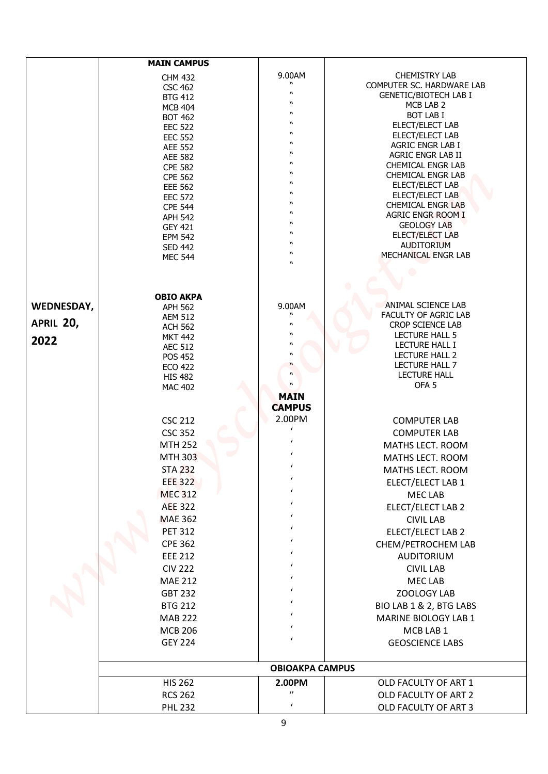|            | <b>MAIN CAMPUS</b>               |                                               |                                             |
|------------|----------------------------------|-----------------------------------------------|---------------------------------------------|
|            | <b>CHM 432</b>                   | 9.00AM                                        | <b>CHEMISTRY LAB</b>                        |
|            | <b>CSC 462</b>                   |                                               | COMPUTER SC. HARDWARE LAB                   |
|            | <b>BTG 412</b>                   | $\boldsymbol{n}$                              | <b>GENETIC/BIOTECH LAB I</b>                |
|            | <b>MCB 404</b>                   | $\boldsymbol{\mathsf{M}}$                     | MCB LAB 2                                   |
|            | <b>BOT 462</b>                   | $\boldsymbol{v}$<br>$\mathbf{u}$              | <b>BOT LAB I</b>                            |
|            | <b>EEC 522</b>                   | $\boldsymbol{v}$                              | ELECT/ELECT LAB<br>ELECT/ELECT LAB          |
|            | <b>EEC 552</b><br><b>AEE 552</b> | $\boldsymbol{v}$                              | AGRIC ENGR LAB I                            |
|            | <b>AEE 582</b>                   | $\boldsymbol{v}$                              | AGRIC ENGR LAB II                           |
|            | <b>CPE 582</b>                   | $\boldsymbol{v}$                              | <b>CHEMICAL ENGR LAB</b>                    |
|            | <b>CPE 562</b>                   | $\boldsymbol{v}$                              | <b>CHEMICAL ENGR LAB</b>                    |
|            | <b>EEE 562</b>                   | $\boldsymbol{v}$<br>$\boldsymbol{v}$          | ELECT/ELECT LAB                             |
|            | <b>EEC 572</b>                   | $\mathbf{u}$                                  | ELECT/ELECT LAB<br><b>CHEMICAL ENGR LAB</b> |
|            | <b>CPE 544</b><br><b>APH 542</b> | $\boldsymbol{v}$                              | <b>AGRIC ENGR ROOM I</b>                    |
|            | <b>GEY 421</b>                   | $\boldsymbol{v}$                              | <b>GEOLOGY LAB</b>                          |
|            | <b>EPM 542</b>                   | $\boldsymbol{v}$                              | ELECT/ELECT LAB                             |
|            | <b>SED 442</b>                   | $\mathbf{u}$<br>W                             | <b>AUDITORIUM</b>                           |
|            | <b>MEC 544</b>                   | $\mathbf{u}$                                  | MECHANICAL ENGR LAB                         |
|            |                                  |                                               |                                             |
|            |                                  |                                               |                                             |
|            | <b>OBIO AKPA</b>                 |                                               |                                             |
| WEDNESDAY, | <b>APH 562</b>                   | 9.00AM<br>$\boldsymbol{v}$                    | ANIMAL SCIENCE LAB<br>FACULTY OF AGRIC LAB  |
| APRIL 20,  | <b>AEM 512</b><br><b>ACH 562</b> | $\boldsymbol{v}$                              | <b>CROP SCIENCE LAB</b>                     |
|            | <b>MKT 442</b>                   | $\boldsymbol{n}$                              | <b>LECTURE HALL 5</b>                       |
| 2022       | <b>AEC 512</b>                   | w                                             | LECTURE HALL I                              |
|            | <b>POS 452</b>                   | $\boldsymbol{\mathsf{M}}$                     | LECTURE HALL 2                              |
|            | <b>ECO 422</b>                   | $\boldsymbol{\mathsf{u}}$<br>$\boldsymbol{w}$ | LECTURE HALL 7<br><b>LECTURE HALL</b>       |
|            | <b>HIS 482</b><br><b>MAC 402</b> | $\boldsymbol{n}$                              | OFA <sub>5</sub>                            |
|            |                                  | <b>MAIN</b>                                   |                                             |
|            |                                  | <b>CAMPUS</b>                                 |                                             |
|            | <b>CSC 212</b>                   | 2.00PM                                        | <b>COMPUTER LAB</b>                         |
|            | <b>CSC 352</b>                   |                                               | <b>COMPUTER LAB</b>                         |
|            | <b>MTH 252</b>                   | $\epsilon$                                    | MATHS LECT. ROOM                            |
|            | <b>MTH 303</b>                   | $\epsilon$                                    | MATHS LECT. ROOM                            |
|            | <b>STA 232</b>                   | $\epsilon$                                    | MATHS LECT. ROOM                            |
|            | <b>EEE 322</b>                   | $\epsilon$                                    | ELECT/ELECT LAB 1                           |
|            | <b>MEC 312</b>                   | $\epsilon$                                    | <b>MEC LAB</b>                              |
|            | <b>AEE 322</b>                   | $\epsilon$                                    | ELECT/ELECT LAB 2                           |
|            | <b>MAE 362</b>                   | $\epsilon$                                    | <b>CIVIL LAB</b>                            |
|            | <b>PET 312</b>                   | $\epsilon$                                    | ELECT/ELECT LAB 2                           |
|            | <b>CPE 362</b>                   | $\epsilon$                                    | CHEM/PETROCHEM LAB                          |
|            | <b>EEE 212</b>                   |                                               | <b>AUDITORIUM</b>                           |
|            | <b>CIV 222</b>                   | $\epsilon$                                    | <b>CIVIL LAB</b>                            |
|            | <b>MAE 212</b>                   | $\epsilon$                                    | MEC LAB                                     |
|            | <b>GBT 232</b>                   | $\epsilon$                                    | ZOOLOGY LAB                                 |
|            | <b>BTG 212</b>                   |                                               | BIO LAB 1 & 2, BTG LABS                     |
|            | <b>MAB 222</b>                   |                                               | MARINE BIOLOGY LAB 1                        |
|            |                                  |                                               |                                             |
|            | <b>MCB 206</b><br><b>GEY 224</b> | $\epsilon$                                    | MCB LAB 1                                   |
|            |                                  |                                               | <b>GEOSCIENCE LABS</b>                      |
|            |                                  | <b>OBIOAKPA CAMPUS</b>                        |                                             |
|            | <b>HIS 262</b>                   | 2.00PM                                        | OLD FACULTY OF ART 1                        |
|            | <b>RCS 262</b>                   | $\boldsymbol{\theta}$                         | OLD FACULTY OF ART 2                        |
|            | <b>PHL 232</b>                   | $\pmb{\prime}$                                | OLD FACULTY OF ART 3                        |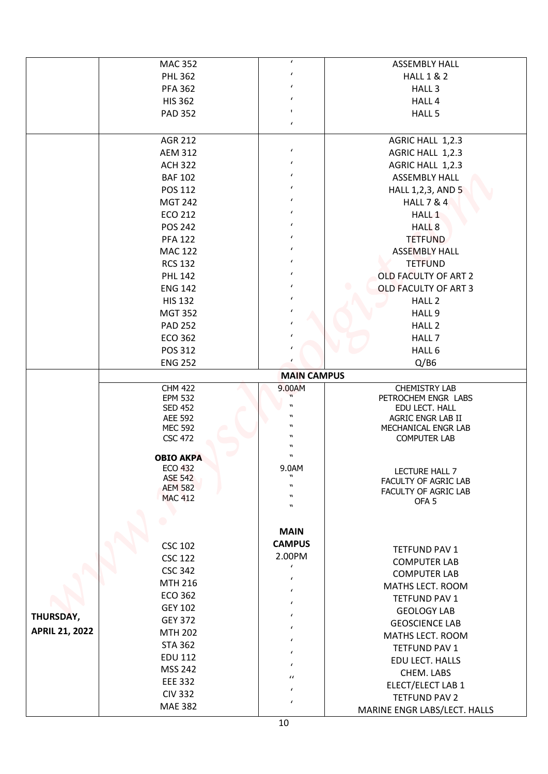|                       | <b>MAC 352</b>                   | $\pmb{\prime}$            | <b>ASSEMBLY HALL</b>                       |
|-----------------------|----------------------------------|---------------------------|--------------------------------------------|
|                       | <b>PHL 362</b>                   | $\epsilon$                | <b>HALL 1 &amp; 2</b>                      |
|                       | <b>PFA 362</b>                   | $\epsilon$                | HALL <sub>3</sub>                          |
|                       | <b>HIS 362</b>                   | $\pmb{\prime}$            | HALL 4                                     |
|                       | <b>PAD 352</b>                   | $\blacksquare$            | HALL 5                                     |
|                       |                                  | $\pmb{\prime}$            |                                            |
|                       | <b>AGR 212</b>                   |                           | AGRIC HALL 1,2.3                           |
|                       | <b>AEM 312</b>                   | $\epsilon$                | AGRIC HALL 1,2.3                           |
|                       | <b>ACH 322</b>                   | $\epsilon$                | AGRIC HALL 1,2.3                           |
|                       | <b>BAF 102</b>                   | $\epsilon$                | <b>ASSEMBLY HALL</b>                       |
|                       | POS 112                          | $\epsilon$                | HALL 1,2,3, AND 5                          |
|                       | <b>MGT 242</b>                   | $\epsilon$                | <b>HALL 7 &amp; 4</b>                      |
|                       | <b>ECO 212</b>                   | $\epsilon$                | HALL <sub>1</sub>                          |
|                       | <b>POS 242</b>                   | $\epsilon$                | HALL <sub>8</sub>                          |
|                       | <b>PFA 122</b>                   | $\epsilon$                | <b>TETFUND</b>                             |
|                       | <b>MAC 122</b>                   | $\epsilon$                | <b>ASSEMBLY HALL</b>                       |
|                       | <b>RCS 132</b>                   | $\epsilon$                | <b>TETFUND</b>                             |
|                       | <b>PHL 142</b>                   | $\epsilon$                | <b>OLD FACULTY OF ART 2</b>                |
|                       | <b>ENG 142</b>                   | $\epsilon$                | <b>OLD FACULTY OF ART 3</b>                |
|                       | <b>HIS 132</b>                   | $\epsilon$                | HALL <sub>2</sub>                          |
|                       | <b>MGT 352</b>                   | $\pmb{\prime}$            | HALL 9                                     |
|                       | <b>PAD 252</b>                   | $\epsilon$                | HALL <sub>2</sub>                          |
|                       | <b>ECO 362</b>                   | $\epsilon$                | HALL 7                                     |
|                       | POS 312                          | $\epsilon$                | HALL 6                                     |
|                       | <b>ENG 252</b>                   | $\epsilon$                | Q/BB                                       |
|                       |                                  | <b>MAIN CAMPUS</b>        |                                            |
|                       | <b>CHM 422</b>                   | 9.00AM                    | <b>CHEMISTRY LAB</b>                       |
|                       | <b>EPM 532</b>                   | $\boldsymbol{v}$          | PETROCHEM ENGR LABS                        |
|                       | <b>SED 452</b><br><b>AEE 592</b> | $\boldsymbol{n}$          | EDU LECT. HALL<br>AGRIC ENGR LAB II        |
|                       | <b>MEC 592</b>                   | $\boldsymbol{v}$          | MECHANICAL ENGR LAB                        |
|                       | <b>CSC 472</b>                   | $\boldsymbol{v}$          | <b>COMPUTER LAB</b>                        |
|                       | <b>OBIO AKPA</b>                 | w<br>$\boldsymbol{n}$     |                                            |
|                       | <b>ECO 432</b>                   | 9.0AM                     |                                            |
|                       | <b>ASE 542</b>                   | $\boldsymbol{\mathsf{M}}$ | LECTURE HALL 7<br>FACULTY OF AGRIC LAB     |
|                       | <b>AEM 582</b>                   | W<br>$\boldsymbol{v}$     | FACULTY OF AGRIC LAB                       |
|                       | <b>MAC 412</b>                   | $\boldsymbol{v}$          | OFA <sub>5</sub>                           |
|                       |                                  |                           |                                            |
|                       |                                  | <b>MAIN</b>               |                                            |
|                       | <b>CSC 102</b>                   | <b>CAMPUS</b>             |                                            |
|                       | <b>CSC 122</b>                   | 2.00PM                    | TETFUND PAV 1                              |
|                       | <b>CSC 342</b>                   | $\epsilon$                | <b>COMPUTER LAB</b><br><b>COMPUTER LAB</b> |
|                       | MTH 216                          | $\epsilon$                | MATHS LECT. ROOM                           |
|                       | <b>ECO 362</b>                   | $\epsilon$                | TETFUND PAV 1                              |
|                       | <b>GEY 102</b>                   | $\epsilon$                | <b>GEOLOGY LAB</b>                         |
| THURSDAY,             | <b>GEY 372</b>                   | $\epsilon$                | <b>GEOSCIENCE LAB</b>                      |
| <b>APRIL 21, 2022</b> | <b>MTH 202</b>                   | $\epsilon$                | MATHS LECT. ROOM                           |
|                       | <b>STA 362</b>                   | $\epsilon$                | TETFUND PAV 1                              |
|                       | <b>EDU 112</b>                   | $\epsilon$                | EDU LECT. HALLS                            |
|                       | <b>MSS 242</b>                   | $\epsilon$                | CHEM. LABS                                 |
|                       | <b>EEE 332</b>                   | $\iota$                   | ELECT/ELECT LAB 1                          |
|                       | <b>CIV 332</b>                   | $\epsilon$                | <b>TETFUND PAV 2</b>                       |
|                       | <b>MAE 382</b>                   |                           | MARINE ENGR LABS/LECT. HALLS               |
|                       |                                  |                           |                                            |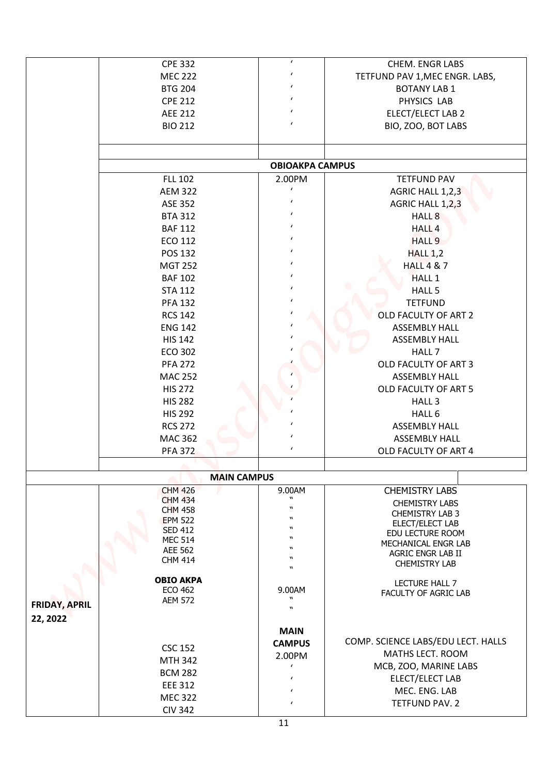|                      | <b>CPE 332</b>                   | $\pmb{\prime}$                       | <b>CHEM. ENGR LABS</b>                          |
|----------------------|----------------------------------|--------------------------------------|-------------------------------------------------|
|                      | <b>MEC 222</b>                   | $\pmb{\prime}$                       | TETFUND PAV 1, MEC ENGR. LABS,                  |
|                      | <b>BTG 204</b>                   | $\epsilon$                           | <b>BOTANY LAB 1</b>                             |
|                      | <b>CPE 212</b>                   | $\pmb{\prime}$                       | PHYSICS LAB                                     |
|                      | <b>AEE 212</b>                   | $\epsilon$                           | ELECT/ELECT LAB 2                               |
|                      | <b>BIO 212</b>                   | $\pmb{\prime}$                       | BIO, ZOO, BOT LABS                              |
|                      |                                  |                                      |                                                 |
|                      |                                  | <b>OBIOAKPA CAMPUS</b>               |                                                 |
|                      | <b>FLL 102</b>                   | 2.00PM<br>$\epsilon$                 | <b>TETFUND PAV</b>                              |
|                      | <b>AEM 322</b>                   | $\epsilon$                           | AGRIC HALL 1,2,3                                |
|                      | <b>ASE 352</b>                   |                                      | AGRIC HALL 1,2,3                                |
|                      | <b>BTA 312</b>                   | $\epsilon$                           | HALL <sub>8</sub>                               |
|                      | <b>BAF 112</b>                   | $\epsilon$                           | HALL <sub>4</sub>                               |
|                      | <b>ECO 112</b>                   | $\epsilon$                           | HALL 9                                          |
|                      | <b>POS 132</b>                   | $\epsilon$                           | <b>HALL 1,2</b>                                 |
|                      | <b>MGT 252</b>                   | $\epsilon$                           | <b>HALL 4 &amp; 7</b>                           |
|                      | <b>BAF 102</b>                   | $\epsilon$                           | <b>HALL 1</b>                                   |
|                      | <b>STA 112</b>                   | $\epsilon$                           | HALL 5                                          |
|                      | <b>PFA 132</b>                   | $\epsilon$                           | <b>TETFUND</b>                                  |
|                      | <b>RCS 142</b>                   |                                      | OLD FACULTY OF ART 2                            |
|                      | <b>ENG 142</b>                   |                                      | <b>ASSEMBLY HALL</b>                            |
|                      | <b>HIS 142</b>                   |                                      | <b>ASSEMBLY HALL</b>                            |
|                      | <b>ECO 302</b>                   |                                      | HALL 7                                          |
|                      |                                  |                                      |                                                 |
|                      | <b>PFA 272</b>                   |                                      | OLD FACULTY OF ART 3                            |
|                      | <b>MAC 252</b>                   |                                      | <b>ASSEMBLY HALL</b>                            |
|                      | <b>HIS 272</b>                   |                                      | OLD FACULTY OF ART 5                            |
|                      | <b>HIS 282</b>                   |                                      | HALL <sub>3</sub>                               |
|                      | <b>HIS 292</b>                   | $\pmb{\prime}$                       | HALL 6                                          |
|                      | <b>RCS 272</b>                   | $\epsilon$                           | <b>ASSEMBLY HALL</b>                            |
|                      | <b>MAC 362</b>                   | $\epsilon$                           | <b>ASSEMBLY HALL</b>                            |
|                      | <b>PFA 372</b>                   | $\epsilon$                           | OLD FACULTY OF ART 4                            |
|                      |                                  |                                      |                                                 |
|                      |                                  | <b>MAIN CAMPUS</b>                   |                                                 |
|                      | <b>CHM 426</b><br><b>CHM 434</b> | 9.00AM<br>W                          | <b>CHEMISTRY LABS</b>                           |
|                      | <b>CHM 458</b>                   | $\boldsymbol{u}$                     | <b>CHEMISTRY LABS</b><br><b>CHEMISTRY LAB 3</b> |
|                      | <b>EPM 522</b>                   | w                                    | ELECT/ELECT LAB                                 |
|                      | <b>SED 412</b>                   | w                                    | EDU LECTURE ROOM                                |
|                      | <b>MEC 514</b>                   | W<br>$\boldsymbol{v}$                | MECHANICAL ENGR LAB                             |
|                      | AEE 562<br><b>CHM 414</b>        | W                                    | AGRIC ENGR LAB II                               |
|                      |                                  | $\boldsymbol{v}$                     | <b>CHEMISTRY LAB</b>                            |
|                      | <b>OBIO AKPA</b>                 |                                      | LECTURE HALL 7                                  |
|                      | <b>ECO 462</b>                   | 9.00AM                               | FACULTY OF AGRIC LAB                            |
| <b>FRIDAY, APRIL</b> | <b>AEM 572</b>                   | $\boldsymbol{v}$<br>$\boldsymbol{n}$ |                                                 |
| 22, 2022             |                                  |                                      |                                                 |
|                      |                                  | <b>MAIN</b>                          |                                                 |
|                      |                                  |                                      | COMP. SCIENCE LABS/EDU LECT. HALLS              |
|                      | <b>CSC 152</b>                   | <b>CAMPUS</b>                        | MATHS LECT. ROOM                                |
|                      | <b>MTH 342</b>                   | 2.00PM<br>$\epsilon$                 |                                                 |
|                      | <b>BCM 282</b>                   |                                      | MCB, ZOO, MARINE LABS<br>ELECT/ELECT LAB        |
|                      |                                  | $\epsilon$                           |                                                 |
|                      |                                  |                                      |                                                 |
|                      | <b>EEE 312</b>                   | $\epsilon$                           | MEC. ENG. LAB                                   |
|                      | <b>MEC 322</b><br><b>CIV 342</b> | $\epsilon$                           | TETFUND PAV. 2                                  |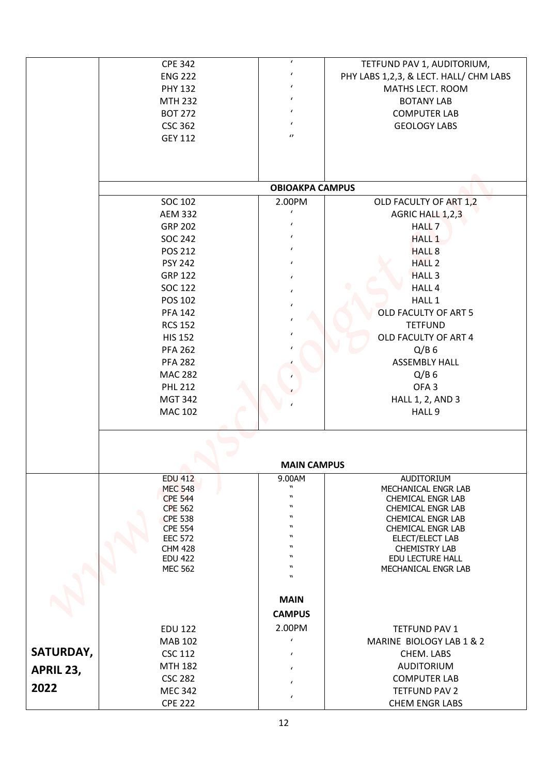|           | <b>CPE 342</b>                   | $\pmb{\prime}$               | TETFUND PAV 1, AUDITORIUM,                  |
|-----------|----------------------------------|------------------------------|---------------------------------------------|
|           | <b>ENG 222</b>                   | $\pmb{\prime}$               | PHY LABS 1,2,3, & LECT. HALL/ CHM LABS      |
|           | <b>PHY 132</b>                   | $\epsilon$                   | MATHS LECT. ROOM                            |
|           | <b>MTH 232</b>                   | $\epsilon$                   | <b>BOTANY LAB</b>                           |
|           | <b>BOT 272</b>                   | $\epsilon$                   | <b>COMPUTER LAB</b>                         |
|           | <b>CSC 362</b>                   | $\pmb{\prime}$               | <b>GEOLOGY LABS</b>                         |
|           | <b>GEY 112</b>                   | $\prime$                     |                                             |
|           |                                  |                              |                                             |
|           |                                  | <b>OBIOAKPA CAMPUS</b>       |                                             |
|           | <b>SOC 102</b>                   | 2.00PM                       | OLD FACULTY OF ART 1,2                      |
|           | <b>AEM 332</b>                   | $\pmb{\prime}$               | AGRIC HALL 1,2,3                            |
|           | <b>GRP 202</b>                   | $\pmb{\prime}$               | HALL <sub>7</sub>                           |
|           | <b>SOC 242</b>                   | $\epsilon$                   | <b>HALL 1</b>                               |
|           | <b>POS 212</b>                   | $\pmb{\prime}$               | <b>HALL 8</b>                               |
|           | <b>PSY 242</b>                   | $\epsilon$                   | <b>HALL 2</b>                               |
|           | <b>GRP 122</b>                   | $\epsilon$                   | HALL <sub>3</sub>                           |
|           | <b>SOC 122</b>                   | $\epsilon$                   | HALL 4                                      |
|           | <b>POS 102</b>                   |                              | HALL 1                                      |
|           | <b>PFA 142</b>                   | $\pmb{\prime}$               | OLD FACULTY OF ART 5                        |
|           | <b>RCS 152</b>                   |                              | <b>TETFUND</b>                              |
|           | <b>HIS 152</b>                   |                              | OLD FACULTY OF ART 4                        |
|           | <b>PFA 262</b>                   |                              | $Q/B$ 6                                     |
|           | <b>PFA 282</b>                   |                              | <b>ASSEMBLY HALL</b>                        |
|           | <b>MAC 282</b>                   |                              | $Q/B$ 6                                     |
|           | <b>PHL 212</b>                   |                              | OFA <sub>3</sub>                            |
|           | <b>MGT 342</b>                   |                              | <b>HALL 1, 2, AND 3</b>                     |
|           | <b>MAC 102</b>                   |                              | HALL 9                                      |
|           |                                  |                              |                                             |
|           |                                  |                              |                                             |
|           | <b>EDU 412</b>                   | <b>MAIN CAMPUS</b><br>9.00AM | AUDITORIUM                                  |
|           | <b>MEC 548</b>                   | $\boldsymbol{n}$             | MECHANICAL ENGR LAB                         |
|           | <b>CPE 544</b>                   | $\boldsymbol{n}$             | CHEMICAL ENGR LAB                           |
|           | <b>CPE 562</b>                   | $\boldsymbol{v}$             | <b>CHEMICAL ENGR LAB</b>                    |
|           | <b>CPE 538</b>                   | w<br>$\boldsymbol{v}$        | CHEMICAL ENGR LAB                           |
|           | <b>CPE 554</b><br><b>EEC 572</b> | $\boldsymbol{v}$             | CHEMICAL ENGR LAB<br>ELECT/ELECT LAB        |
|           | <b>CHM 428</b>                   | w                            | <b>CHEMISTRY LAB</b>                        |
|           | <b>EDU 422</b>                   | $\boldsymbol{v}$             | EDU LECTURE HALL                            |
|           | <b>MEC 562</b>                   | w<br>$\mathbf{u}$            | MECHANICAL ENGR LAB                         |
|           |                                  | <b>MAIN</b>                  |                                             |
|           |                                  | <b>CAMPUS</b>                |                                             |
|           | <b>EDU 122</b>                   | 2.00PM                       | TETFUND PAV 1                               |
|           | <b>MAB 102</b>                   | $\epsilon$                   | MARINE BIOLOGY LAB 1 & 2                    |
| SATURDAY, | <b>CSC 112</b>                   | $\epsilon$                   | CHEM. LABS                                  |
|           | <b>MTH 182</b>                   | $\epsilon$                   | <b>AUDITORIUM</b>                           |
| APRIL 23, |                                  |                              |                                             |
|           |                                  |                              |                                             |
| 2022      | <b>CSC 282</b><br><b>MEC 342</b> | $\epsilon$<br>$\pmb{\prime}$ | <b>COMPUTER LAB</b><br><b>TETFUND PAV 2</b> |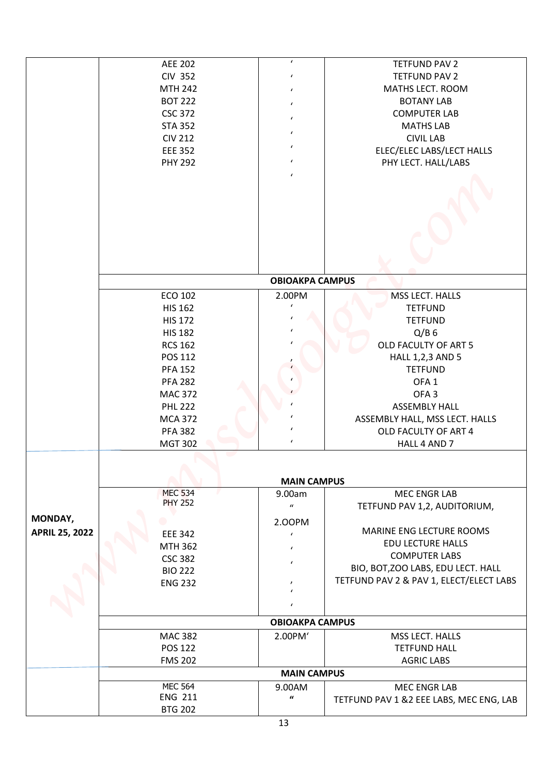|                       | <b>AEE 202</b>                   | $\pmb{\prime}$                   | <b>TETFUND PAV 2</b>                    |
|-----------------------|----------------------------------|----------------------------------|-----------------------------------------|
|                       | <b>CIV 352</b>                   | $\pmb{\prime}$                   | <b>TETFUND PAV 2</b>                    |
|                       | <b>MTH 242</b>                   | $\pmb{\prime}$                   | MATHS LECT. ROOM                        |
|                       | <b>BOT 222</b>                   | $\pmb{\prime}$                   | <b>BOTANY LAB</b>                       |
|                       | <b>CSC 372</b>                   | $\pmb{\prime}$                   | <b>COMPUTER LAB</b>                     |
|                       | <b>STA 352</b>                   | $\pmb{\prime}$                   | <b>MATHS LAB</b>                        |
|                       | <b>CIV 212</b>                   |                                  | <b>CIVIL LAB</b>                        |
|                       | <b>EEE 352</b>                   | $\epsilon$                       | ELEC/ELEC LABS/LECT HALLS               |
|                       | <b>PHY 292</b>                   | $\pmb{\prime}$<br>$\pmb{\prime}$ | PHY LECT. HALL/LABS                     |
|                       |                                  |                                  |                                         |
|                       |                                  |                                  |                                         |
|                       |                                  | <b>OBIOAKPA CAMPUS</b>           |                                         |
|                       | <b>ECO 102</b>                   | 2.00PM                           | MSS LECT. HALLS                         |
|                       | <b>HIS 162</b>                   | $\epsilon$                       | <b>TETFUND</b>                          |
|                       | <b>HIS 172</b>                   | $\pmb{\prime}$                   | <b>TETFUND</b>                          |
|                       | <b>HIS 182</b>                   | $\epsilon$                       | $Q/B$ 6                                 |
|                       | <b>RCS 162</b>                   |                                  | OLD FACULTY OF ART 5                    |
|                       | POS 112                          |                                  | HALL 1,2,3 AND 5                        |
|                       | <b>PFA 152</b>                   |                                  | <b>TETFUND</b>                          |
|                       | <b>PFA 282</b>                   |                                  | OFA <sub>1</sub>                        |
|                       | <b>MAC 372</b>                   |                                  | OFA <sub>3</sub>                        |
|                       | <b>PHL 222</b>                   |                                  | <b>ASSEMBLY HALL</b>                    |
|                       | <b>MCA 372</b>                   | $\epsilon$                       | ASSEMBLY HALL, MSS LECT. HALLS          |
|                       | <b>PFA 382</b>                   |                                  | OLD FACULTY OF ART 4                    |
|                       | <b>MGT 302</b>                   | $\pmb{\prime}$                   | HALL 4 AND 7                            |
|                       |                                  |                                  |                                         |
|                       |                                  | <b>MAIN CAMPUS</b>               |                                         |
|                       | <b>MEC 534</b><br><b>PHY 252</b> | 9.00am                           | <b>MEC ENGR LAB</b>                     |
|                       |                                  | $\boldsymbol{\mathcal{U}}$       | TETFUND PAV 1,2, AUDITORIUM,            |
| MONDAY,               |                                  | 2.00PM                           |                                         |
| <b>APRIL 25, 2022</b> | <b>EEE 342</b>                   | $\epsilon$                       | MARINE ENG LECTURE ROOMS                |
|                       | MTH 362                          |                                  | <b>EDU LECTURE HALLS</b>                |
|                       | <b>CSC 382</b>                   | $\epsilon$                       | <b>COMPUTER LABS</b>                    |
|                       | <b>BIO 222</b>                   |                                  | BIO, BOT, ZOO LABS, EDU LECT. HALL      |
|                       | <b>ENG 232</b>                   | $\mathbf{r}$                     | TETFUND PAV 2 & PAV 1, ELECT/ELECT LABS |
|                       |                                  |                                  |                                         |
|                       |                                  | <b>OBIOAKPA CAMPUS</b>           |                                         |
|                       | <b>MAC 382</b>                   | 2.00PM'                          | MSS LECT. HALLS                         |
|                       | <b>POS 122</b>                   |                                  | <b>TETFUND HALL</b>                     |
|                       | <b>FMS 202</b>                   |                                  | <b>AGRIC LABS</b>                       |
|                       |                                  | <b>MAIN CAMPUS</b>               |                                         |
|                       | <b>MEC 564</b><br><b>ENG 211</b> | 9.00AM<br>$\pmb{\mathcal{U}}$    | MEC ENGR LAB                            |
|                       |                                  |                                  |                                         |
|                       | <b>BTG 202</b>                   |                                  | TETFUND PAV 1 &2 EEE LABS, MEC ENG, LAB |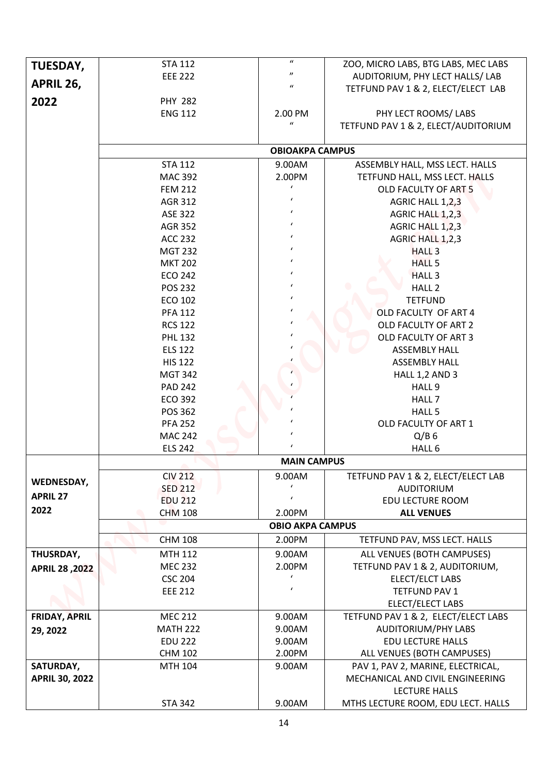| TUESDAY,<br>APRIL 26, | <b>STA 112</b><br><b>EEE 222</b> | $\boldsymbol{\eta}$         | ZOO, MICRO LABS, BTG LABS, MEC LABS<br>AUDITORIUM, PHY LECT HALLS/ LAB |  |  |
|-----------------------|----------------------------------|-----------------------------|------------------------------------------------------------------------|--|--|
|                       |                                  | $\boldsymbol{u}$            | TETFUND PAV 1 & 2, ELECT/ELECT LAB                                     |  |  |
| 2022                  | <b>PHY 282</b>                   |                             |                                                                        |  |  |
|                       | <b>ENG 112</b>                   | 2.00 PM<br>$\boldsymbol{u}$ | PHY LECT ROOMS/ LABS<br>TETFUND PAV 1 & 2, ELECT/AUDITORIUM            |  |  |
|                       |                                  | <b>OBIOAKPA CAMPUS</b>      |                                                                        |  |  |
|                       | <b>STA 112</b>                   | 9.00AM                      |                                                                        |  |  |
|                       | <b>MAC 392</b>                   | 2.00PM                      | ASSEMBLY HALL, MSS LECT. HALLS                                         |  |  |
|                       | <b>FEM 212</b>                   |                             | TETFUND HALL, MSS LECT. HALLS<br>OLD FACULTY OF ART 5                  |  |  |
|                       | AGR 312                          | $\epsilon$                  | AGRIC HALL 1,2,3                                                       |  |  |
|                       | ASE 322                          | $\epsilon$                  | AGRIC HALL 1,2,3                                                       |  |  |
|                       | <b>AGR 352</b>                   | $\epsilon$                  | AGRIC HALL 1,2,3                                                       |  |  |
|                       | <b>ACC 232</b>                   |                             | AGRIC HALL 1,2,3                                                       |  |  |
|                       | <b>MGT 232</b>                   | $\epsilon$                  | <b>HALL 3</b>                                                          |  |  |
|                       | <b>MKT 202</b>                   | $\epsilon$                  | <b>HALL 5</b>                                                          |  |  |
|                       | <b>ECO 242</b>                   | $\epsilon$                  | <b>HALL 3</b>                                                          |  |  |
|                       | <b>POS 232</b>                   | $\epsilon$                  | HALL <sub>2</sub>                                                      |  |  |
|                       | <b>ECO 102</b>                   | $\epsilon$                  | <b>TETFUND</b>                                                         |  |  |
|                       | <b>PFA 112</b>                   |                             | OLD FACULTY OF ART 4                                                   |  |  |
|                       | <b>RCS 122</b>                   |                             | OLD FACULTY OF ART 2                                                   |  |  |
|                       | <b>PHL 132</b>                   |                             | OLD FACULTY OF ART 3                                                   |  |  |
|                       | <b>ELS 122</b>                   |                             | <b>ASSEMBLY HALL</b>                                                   |  |  |
|                       | <b>HIS 122</b>                   |                             | <b>ASSEMBLY HALL</b>                                                   |  |  |
|                       | <b>MGT 342</b>                   |                             | HALL 1,2 AND 3                                                         |  |  |
|                       | <b>PAD 242</b>                   |                             | HALL 9                                                                 |  |  |
|                       | <b>ECO 392</b>                   |                             | HALL 7                                                                 |  |  |
|                       | POS 362                          |                             | HALL 5                                                                 |  |  |
|                       | <b>PFA 252</b>                   | $\epsilon$                  | OLD FACULTY OF ART 1                                                   |  |  |
|                       | <b>MAC 242</b>                   |                             | $Q/B$ 6                                                                |  |  |
|                       | <b>ELS 242</b>                   | $\epsilon$                  | HALL 6                                                                 |  |  |
|                       |                                  | <b>MAIN CAMPUS</b>          |                                                                        |  |  |
| WEDNESDAY,            | <b>CIV 212</b>                   | 9.00AM                      | TETFUND PAV 1 & 2, ELECT/ELECT LAB                                     |  |  |
| <b>APRIL 27</b>       | <b>SED 212</b>                   | $\pmb{\prime}$              | <b>AUDITORIUM</b>                                                      |  |  |
|                       | <b>EDU 212</b>                   | $\epsilon$                  | <b>EDU LECTURE ROOM</b>                                                |  |  |
| 2022                  | <b>CHM 108</b>                   | 2.00PM                      | <b>ALL VENUES</b>                                                      |  |  |
|                       | <b>OBIO AKPA CAMPUS</b>          |                             |                                                                        |  |  |
|                       | <b>CHM 108</b>                   | 2.00PM                      | TETFUND PAV, MSS LECT. HALLS                                           |  |  |
| THUSRDAY,             | <b>MTH 112</b>                   | 9.00AM                      | ALL VENUES (BOTH CAMPUSES)                                             |  |  |
| APRIL 28, 2022        | <b>MEC 232</b>                   | 2.00PM                      | TETFUND PAV 1 & 2, AUDITORIUM,                                         |  |  |
|                       | <b>CSC 204</b>                   | $\epsilon$                  | ELECT/ELCT LABS                                                        |  |  |
|                       | <b>EEE 212</b>                   | $\epsilon$                  | TETFUND PAV 1                                                          |  |  |
|                       |                                  |                             | ELECT/ELECT LABS                                                       |  |  |
| <b>FRIDAY, APRIL</b>  | <b>MEC 212</b>                   | 9.00AM                      | TETFUND PAV 1 & 2, ELECT/ELECT LABS                                    |  |  |
| 29, 2022              | <b>MATH 222</b>                  | 9.00AM                      | <b>AUDITORIUM/PHY LABS</b>                                             |  |  |
|                       | <b>EDU 222</b>                   | 9.00AM                      | <b>EDU LECTURE HALLS</b>                                               |  |  |
|                       | <b>CHM 102</b>                   | 2.00PM                      | ALL VENUES (BOTH CAMPUSES)                                             |  |  |
| SATURDAY,             | MTH 104                          | 9.00AM                      | PAV 1, PAV 2, MARINE, ELECTRICAL,                                      |  |  |
| <b>APRIL 30, 2022</b> |                                  |                             | MECHANICAL AND CIVIL ENGINEERING                                       |  |  |
|                       |                                  |                             | <b>LECTURE HALLS</b>                                                   |  |  |
|                       | <b>STA 342</b>                   | 9.00AM                      | MTHS LECTURE ROOM, EDU LECT. HALLS                                     |  |  |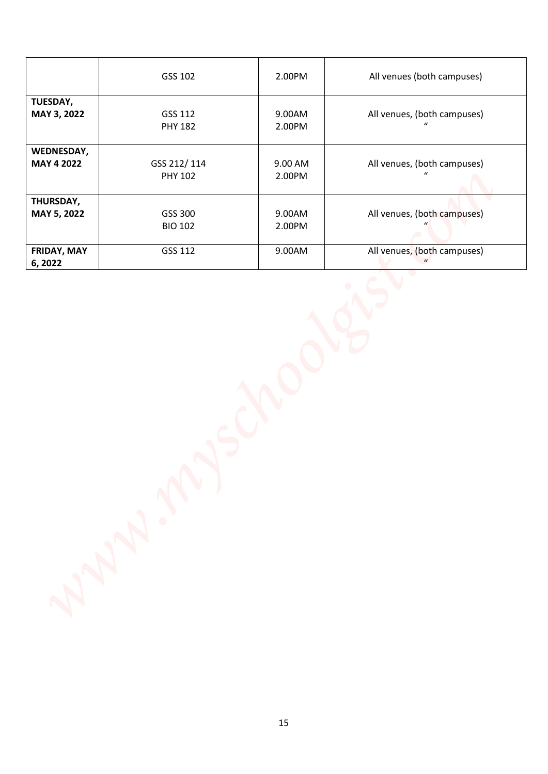|                                 | GSS 102                       | 2.00PM            | All venues (both campuses)                      |
|---------------------------------|-------------------------------|-------------------|-------------------------------------------------|
| TUESDAY,<br><b>MAY 3, 2022</b>  | GSS 112<br><b>PHY 182</b>     | 9.00AM<br>2.00PM  | All venues, (both campuses)<br>$\mathbf{u}$     |
| WEDNESDAY,<br><b>MAY 4 2022</b> | GSS 212/114<br><b>PHY 102</b> | 9.00 AM<br>2.00PM | All venues, (both campuses)<br>$\boldsymbol{u}$ |
| THURSDAY,<br>MAY 5, 2022        | GSS 300<br><b>BIO 102</b>     | 9.00AM<br>2.00PM  | All venues, (both campuses)                     |
| FRIDAY, MAY<br>6, 2022          | GSS 112                       | 9.00AM            | All venues, (both campuses)<br>$\mathbf{u}$     |
|                                 |                               |                   |                                                 |
|                                 | A NSC<br>$\ddot{\phantom{0}}$ |                   |                                                 |